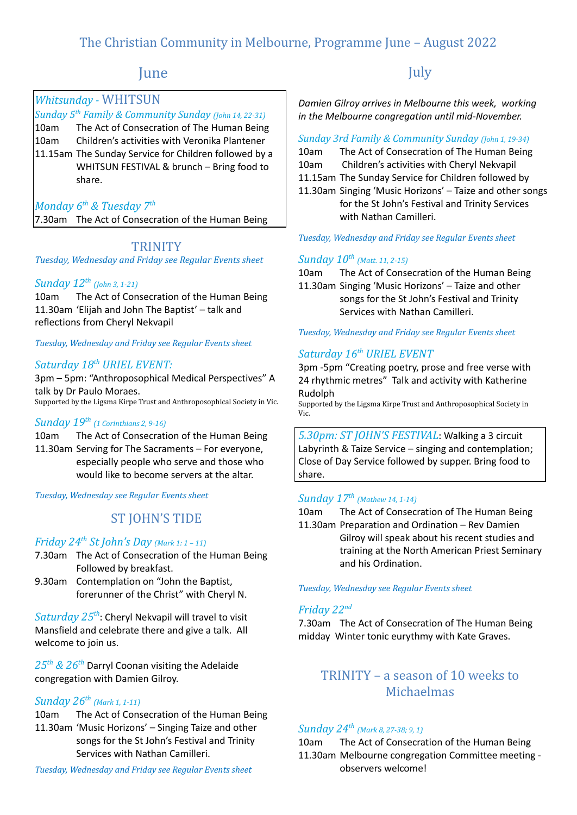# The Christian Community in Melbourne, Programme June – August 2022

# June

## *Whitsunday -* WHITSUN

*Sunday 5 th Family & Community Sunday (John 14, 22-31)* 10am The Act of Consecration of The Human Being 10am Children's activities with Veronika Plantener 11.15am The Sunday Service for Children followed by a WHITSUN FESTIVAL & brunch – Bring food to share.

## *Monday 6th & Tuesday 7th*

7.30am The Act of Consecration of the Human Being

## **TRINITY**

*Tuesday, Wednesday and Friday see Regular Events sheet*

## *Sunday 12th (John 3, 1-21)*

10am The Act of Consecration of the Human Being 11.30am 'Elijah and John The Baptist' – talk and reflections from Cheryl Nekvapil

*Tuesday, Wednesday and Friday see Regular Events sheet*

## *Saturday 18th URIEL EVENT:*

3pm – 5pm: "Anthroposophical Medical Perspectives" A talk by Dr Paulo Moraes. Supported by the Ligsma Kirpe Trust and Anthroposophical Society in Vic.

### *Sunday 19th (1 Corinthians 2, 9-16)*

10am The Act of Consecration of the Human Being 11.30am Serving for The Sacraments – For everyone, especially people who serve and those who would like to become servers at the altar.

*Tuesday, Wednesday see Regular Events sheet*

# ST JOHN'S TIDE

### *Friday 24th St John's Day (Mark 1: <sup>1</sup> – 11)*

- 7.30am The Act of Consecration of the Human Being Followed by breakfast.
- 9.30am Contemplation on "John the Baptist, forerunner of the Christ" with Cheryl N.

*Saturday 25th* : Cheryl Nekvapil will travel to visit Mansfield and celebrate there and give a talk. All welcome to join us.

*25th & 26th* Darryl Coonan visiting the Adelaide congregation with Damien Gilroy.

### *Sunday 26th (Mark 1, 1-11)*

- 10am The Act of Consecration of the Human Being 11.30am 'Music Horizons' – Singing Taize and other
	- songs for the St John's Festival and Trinity Services with Nathan Camilleri.

# **July**

*Damien Gilroy arrives in Melbourne this week, working in the Melbourne congregation until mid-November.*

#### *Sunday 3rd Family & Community Sunday (John 1, 19-34)*

10am The Act of Consecration of The Human Being

- 10am Children's activities with Cheryl Nekvapil
- 11.15am The Sunday Service for Children followed by
- 11.30am Singing 'Music Horizons' Taize and other songs for the St John's Festival and Trinity Services with Nathan Camilleri.

#### *Tuesday, Wednesday and Friday see Regular Events sheet*

## *Sunday 10th (Matt. 11, 2-15)*

10am The Act of Consecration of the Human Being 11.30am Singing 'Music Horizons' – Taize and other songs for the St John's Festival and Trinity Services with Nathan Camilleri.

*Tuesday, Wednesday and Friday see Regular Events sheet*

## *Saturday 16th URIEL EVENT*

3pm -5pm "Creating poetry, prose and free verse with 24 rhythmic metres" Talk and activity with Katherine Rudolph

Supported by the Ligsma Kirpe Trust and Anthroposophical Society in Vic.

*5.30pm: ST JOHN'S FESTIVAL*: Walking a 3 circuit Labyrinth & Taize Service – singing and contemplation; Close of Day Service followed by supper. Bring food to share.

### *Sunday 17th (Mathew 14, 1-14)*

10am The Act of Consecration of The Human Being 11.30am Preparation and Ordination – Rev Damien Gilroy will speak about his recent studies and training at the North American Priest Seminary and his Ordination.

*Tuesday, Wednesday see Regular Events sheet*

## *Friday 22nd*

7.30am The Act of Consecration of The Human Being midday Winter tonic eurythmy with Kate Graves.

## TRINITY – a season of 10 weeks to Michaelmas

## *Sunday 24th (Mark 8, 27-38; 9, 1)*

10am The Act of Consecration of the Human Being 11.30am Melbourne congregation Committee meeting observers welcome!